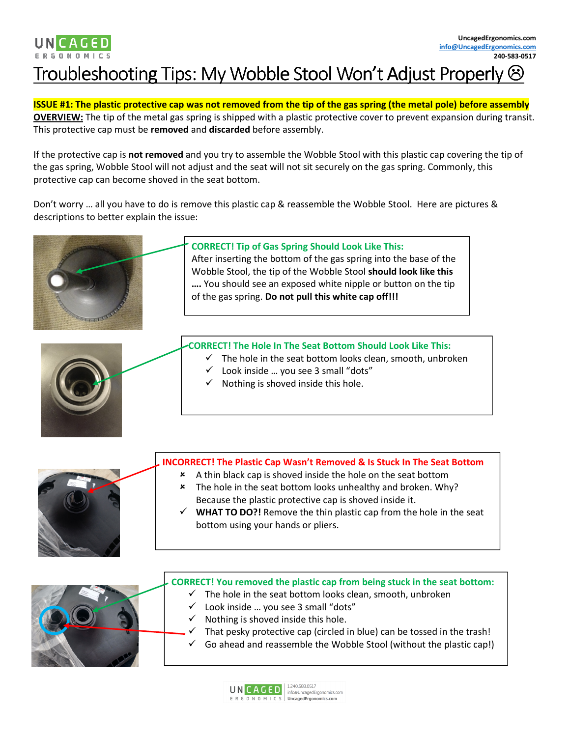#### **UncagedErgonomics.com**  UNC A **info@UncagedErgonomics.com 240-583-0517**  Troubleshooting Tips: My Wobble Stool Won't Adjust Properly

**ISSUE #1: The plastic protective cap was not removed from the tip of the gas spring (the metal pole) before assembly OVERVIEW:** The tip of the metal gas spring is shipped with a plastic protective cover to prevent expansion during transit. This protective cap must be **removed** and **discarded** before assembly.

If the protective cap is **not removed** and you try to assemble the Wobble Stool with this plastic cap covering the tip of the gas spring, Wobble Stool will not adjust and the seat will not sit securely on the gas spring. Commonly, this protective cap can become shoved in the seat bottom.

Don't worry … all you have to do is remove this plastic cap & reassemble the Wobble Stool. Here are pictures & descriptions to better explain the issue:





After inserting the bottom of the gas spring into the base of the Wobble Stool, the tip of the Wobble Stool **should look like this ….** You should see an exposed white nipple or button on the tip of the gas spring. **Do not pull this white cap off!!!** 





# **INCORRECT! The Plastic Cap Wasn't Removed & Is Stuck In The Seat Bottom**

- A thin black cap is shoved inside the hole on the seat bottom
- $\frac{x}{x}$  The hole in the seat bottom looks unhealthy and broken. Why? Because the plastic protective cap is shoved inside it.
- $\checkmark$  **WHAT TO DO?!** Remove the thin plastic cap from the hole in the seat bottom using your hands or pliers.



# **CORRECT! You removed the plastic cap from being stuck in the seat bottom:**

- $\checkmark$  The hole in the seat bottom looks clean, smooth, unbroken
- Look inside … you see 3 small "dots"
- $\checkmark$  Nothing is shoved inside this hole.
- $\checkmark$ That pesky protective cap (circled in blue) can be tossed in the trash!
- $\checkmark$ Go ahead and reassemble the Wobble Stool (without the plastic cap!)